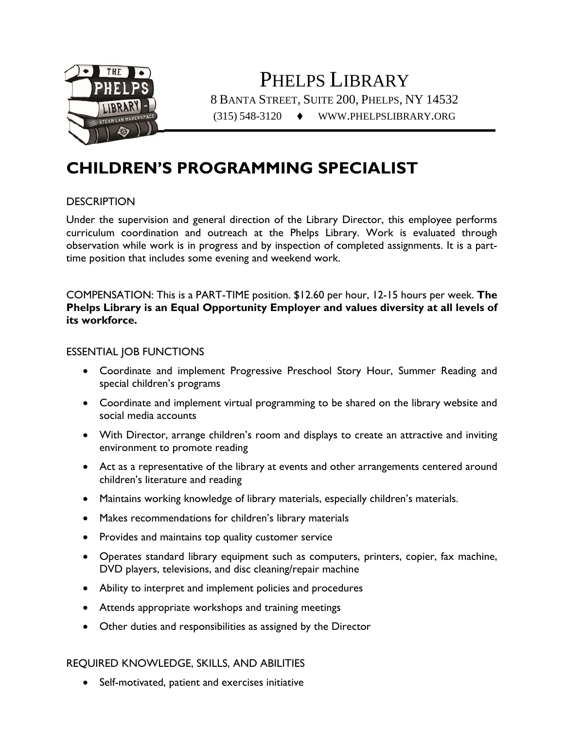

PHELPS LIBRARY 8 BANTA STREET, SUITE 200, PHELPS, NY 14532 (315) 548-3120 WWW.PHELPSLIBRARY.ORG

# **CHILDREN'S PROGRAMMING SPECIALIST**

## **DESCRIPTION**

Under the supervision and general direction of the Library Director, this employee performs curriculum coordination and outreach at the Phelps Library. Work is evaluated through observation while work is in progress and by inspection of completed assignments. It is a parttime position that includes some evening and weekend work.

COMPENSATION: This is a PART-TIME position. \$12.60 per hour, 12-15 hours per week. **The Phelps Library is an Equal Opportunity Employer and values diversity at all levels of its workforce.**

## ESSENTIAL JOB FUNCTIONS

- Coordinate and implement Progressive Preschool Story Hour, Summer Reading and special children's programs
- Coordinate and implement virtual programming to be shared on the library website and social media accounts
- With Director, arrange children's room and displays to create an attractive and inviting environment to promote reading
- Act as a representative of the library at events and other arrangements centered around children's literature and reading
- Maintains working knowledge of library materials, especially children's materials.
- Makes recommendations for children's library materials
- Provides and maintains top quality customer service
- Operates standard library equipment such as computers, printers, copier, fax machine, DVD players, televisions, and disc cleaning/repair machine
- Ability to interpret and implement policies and procedures
- Attends appropriate workshops and training meetings
- Other duties and responsibilities as assigned by the Director

#### REQUIRED KNOWLEDGE, SKILLS, AND ABILITIES

Self-motivated, patient and exercises initiative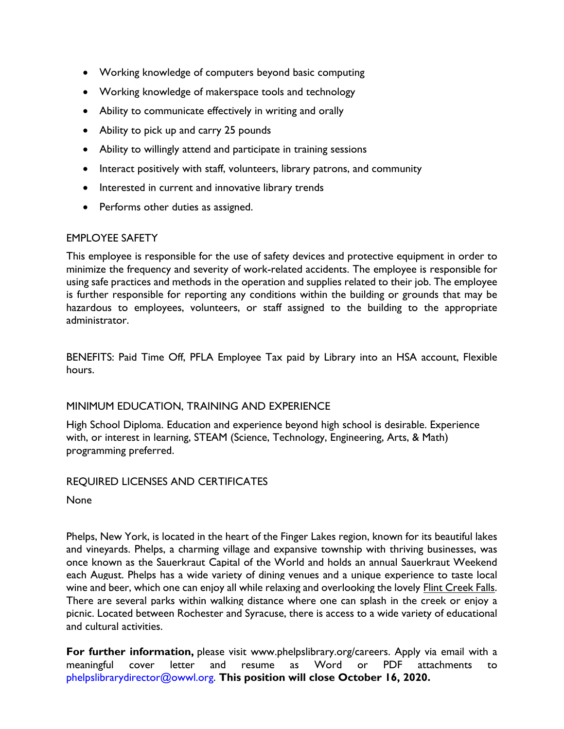- Working knowledge of computers beyond basic computing
- Working knowledge of makerspace tools and technology
- Ability to communicate effectively in writing and orally
- Ability to pick up and carry 25 pounds
- Ability to willingly attend and participate in training sessions
- Interact positively with staff, volunteers, library patrons, and community
- Interested in current and innovative library trends
- Performs other duties as assigned.

# EMPLOYEE SAFETY

This employee is responsible for the use of safety devices and protective equipment in order to minimize the frequency and severity of work-related accidents. The employee is responsible for using safe practices and methods in the operation and supplies related to their job. The employee is further responsible for reporting any conditions within the building or grounds that may be hazardous to employees, volunteers, or staff assigned to the building to the appropriate administrator.

BENEFITS: Paid Time Off, PFLA Employee Tax paid by Library into an HSA account, Flexible hours.

# MINIMUM EDUCATION, TRAINING AND EXPERIENCE

High School Diploma. Education and experience beyond high school is desirable. Experience with, or interest in learning, STEAM (Science, Technology, Engineering, Arts, & Math) programming preferred.

# REQUIRED LICENSES AND CERTIFICATES

None

Phelps, New York, is located in the heart of the Finger Lakes region, known for its beautiful lakes and vineyards. Phelps, a charming village and expansive township with thriving businesses, was once known as the Sauerkraut Capital of the World and holds an annual Sauerkraut Weekend each August. Phelps has a wide variety of dining venues and a unique experience to taste local wine and beer, which one can enjoy all while relaxing and overlooking the lovely Flint Creek Falls. There are several parks within walking distance where one can splash in the creek or enjoy a picnic. Located between Rochester and Syracuse, there is access to a wide variety of educational and cultural activities.

**For further information,** please visit www.phelpslibrary.org/careers. Apply via email with a meaningful cover letter and resume as Word or PDF attachments to phelpslibrarydirector@owwl.org. **This position will close October 16, 2020.**